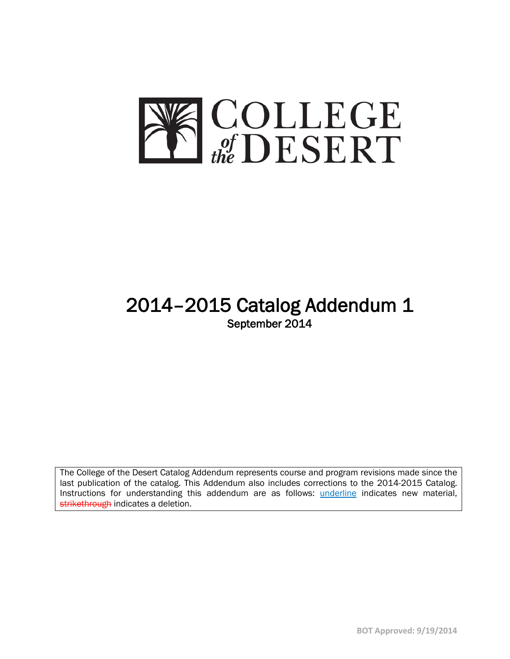

# 2014–2015 Catalog Addendum 1 September 2014

The College of the Desert Catalog Addendum represents course and program revisions made since the last publication of the catalog. This Addendum also includes corrections to the 2014-2015 Catalog. Instructions for understanding this addendum are as follows: *underline* indicates new material, strikethrough indicates a deletion.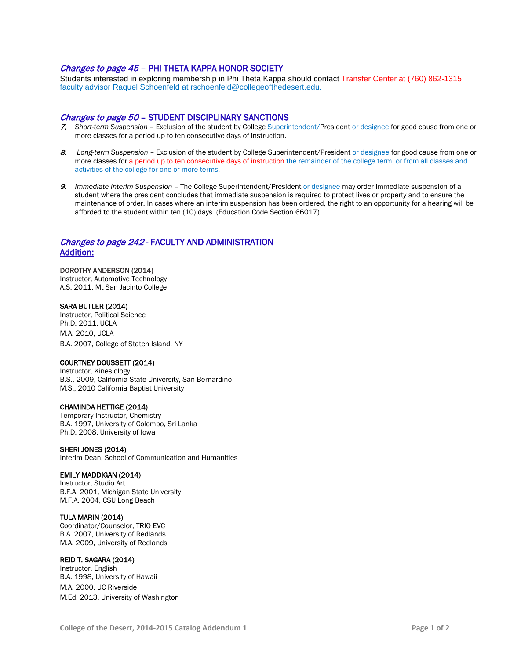# Changes to page 45 - PHI THETA KAPPA HONOR SOCIETY

Students interested in exploring membership in Phi Theta Kappa should contact Transfer Center at (760) 862-1315 faculty advisor Raquel Schoenfeld at rschoenfeld@collegeofthedesert.edu.

## Changes to page 50 – STUDENT DISCIPLINARY SANCTIONS

- 7. *Short-term Suspension* Exclusion of the student by College Superintendent/President or designee for good cause from one or more classes for a period up to ten consecutive days of instruction.
- 8. *Long-term Suspension*  Exclusion of the student by College Superintendent/President or designee for good cause from one or more classes for a period up to ten consecutive days of instruction the remainder of the college term, or from all classes and activities of the college for one or more terms.
- 9. *Immediate Interim Suspension*  The College Superintendent/President or designee may order immediate suspension of a student where the president concludes that immediate suspension is required to protect lives or property and to ensure the maintenance of order. In cases where an interim suspension has been ordered, the right to an opportunity for a hearing will be afforded to the student within ten (10) days. (Education Code Section 66017)

# Changes to page 242 - FACULTY AND ADMINISTRATION Addition:

#### DOROTHY ANDERSON (2014)

Instructor, Automotive Technology A.S. 2011, Mt San Jacinto College

#### SARA BUTLER (2014)

Instructor, Political Science Ph.D. 2011, UCLA M.A. 2010, UCLA B.A. 2007, College of Staten Island, NY

#### COURTNEY DOUSSETT (2014)

Instructor, Kinesiology B.S., 2009, California State University, San Bernardino M.S., 2010 California Baptist University

#### CHAMINDA HETTIGE (2014)

Temporary Instructor, Chemistry B.A. 1997, University of Colombo, Sri Lanka Ph.D. 2008, University of Iowa

#### SHERI JONES (2014)

Interim Dean, School of Communication and Humanities

#### EMILY MADDIGAN (2014)

Instructor, Studio Art B.F.A. 2001, Michigan State University M.F.A. 2004, CSU Long Beach

#### TULA MARIN (2014)

Coordinator/Counselor, TRIO EVC B.A. 2007, University of Redlands M.A. 2009, University of Redlands

#### REID T. SAGARA (2014)

Instructor, English B.A. 1998, University of Hawaii M.A. 2000, UC Riverside M.Ed. 2013, University of Washington